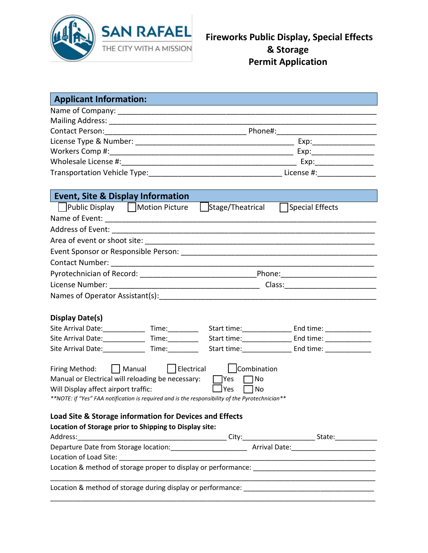

| <b>Applicant Information:</b>                                                                                                                                                                                                                     |                                                                      |
|---------------------------------------------------------------------------------------------------------------------------------------------------------------------------------------------------------------------------------------------------|----------------------------------------------------------------------|
|                                                                                                                                                                                                                                                   |                                                                      |
|                                                                                                                                                                                                                                                   |                                                                      |
|                                                                                                                                                                                                                                                   |                                                                      |
|                                                                                                                                                                                                                                                   |                                                                      |
|                                                                                                                                                                                                                                                   |                                                                      |
|                                                                                                                                                                                                                                                   |                                                                      |
|                                                                                                                                                                                                                                                   |                                                                      |
| <b>Event, Site &amp; Display Information</b>                                                                                                                                                                                                      |                                                                      |
|                                                                                                                                                                                                                                                   | Public Display   Motion Picture   Stage/Theatrical   Special Effects |
|                                                                                                                                                                                                                                                   |                                                                      |
|                                                                                                                                                                                                                                                   |                                                                      |
|                                                                                                                                                                                                                                                   |                                                                      |
|                                                                                                                                                                                                                                                   |                                                                      |
|                                                                                                                                                                                                                                                   |                                                                      |
|                                                                                                                                                                                                                                                   |                                                                      |
|                                                                                                                                                                                                                                                   |                                                                      |
|                                                                                                                                                                                                                                                   |                                                                      |
|                                                                                                                                                                                                                                                   |                                                                      |
| Display Date(s)                                                                                                                                                                                                                                   |                                                                      |
| Site Arrival Date: 1997                                                                                                                                                                                                                           |                                                                      |
| Site Arrival Date: Time:                                                                                                                                                                                                                          |                                                                      |
|                                                                                                                                                                                                                                                   |                                                                      |
| Firing Method: Manual   Electrical   Combination<br>Manual or Electrical will reloading be necessary:<br>Will Display affect airport traffic:<br>** NOTE: if "Yes" FAA notification is required and is the responsibility of the Pyrotechnician** | Yes<br>l INo<br>$\Box$ Yes<br>   No                                  |
| <b>Load Site &amp; Storage information for Devices and Effects</b>                                                                                                                                                                                |                                                                      |
| Location of Storage prior to Shipping to Display site:                                                                                                                                                                                            |                                                                      |
| Address:                                                                                                                                                                                                                                          |                                                                      |
|                                                                                                                                                                                                                                                   |                                                                      |
|                                                                                                                                                                                                                                                   |                                                                      |
|                                                                                                                                                                                                                                                   |                                                                      |
|                                                                                                                                                                                                                                                   |                                                                      |